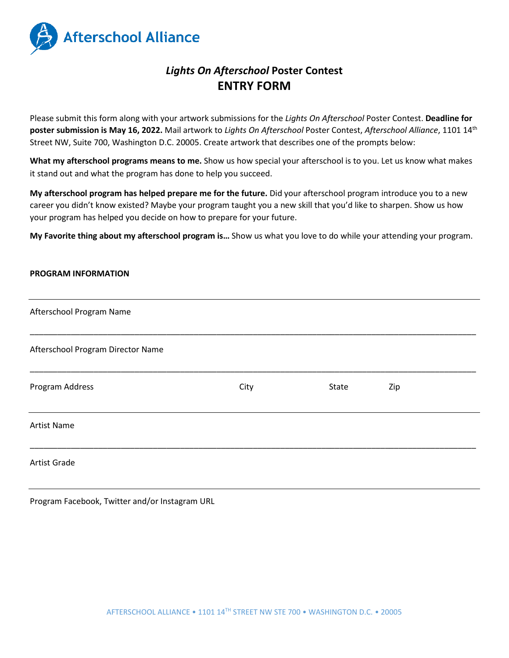

# *Lights On Afterschool* **Poster Contest ENTRY FORM**

Please submit this form along with your artwork submissions for the *Lights On Afterschool* Poster Contest. **Deadline for poster submission is May 16, 2022.** Mail artwork to *Lights On Afterschool* Poster Contest, *Afterschool Alliance*, 1101 14th Street NW, Suite 700, Washington D.C. 20005. Create artwork that describes one of the prompts below:

**What my afterschool programs means to me.** Show us how special your afterschool is to you. Let us know what makes it stand out and what the program has done to help you succeed.

**My afterschool program has helped prepare me for the future.** Did your afterschool program introduce you to a new career you didn't know existed? Maybe your program taught you a new skill that you'd like to sharpen. Show us how your program has helped you decide on how to prepare for your future.

**My Favorite thing about my afterschool program is…** Show us what you love to do while your attending your program.

## **PROGRAM INFORMATION**

| Afterschool Program Name          |      |       |     |
|-----------------------------------|------|-------|-----|
| Afterschool Program Director Name |      |       |     |
| Program Address                   | City | State | Zip |
| <b>Artist Name</b>                |      |       |     |
| <b>Artist Grade</b>               |      |       |     |

Program Facebook, Twitter and/or Instagram URL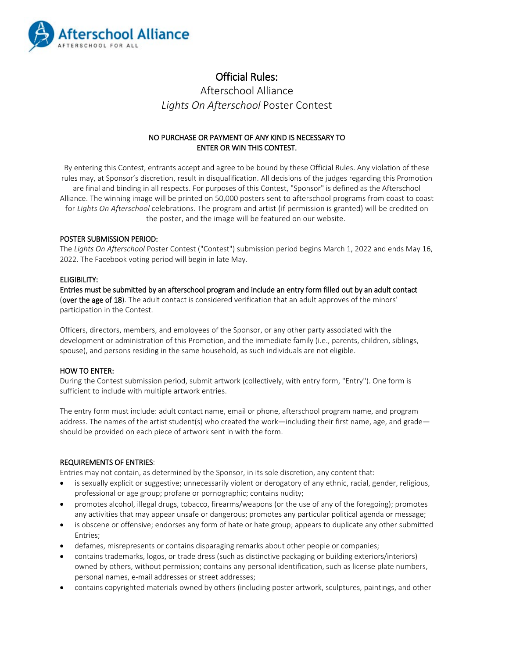

## Official Rules:

Afterschool Alliance *Lights On Afterschool* Poster Contest

## NO PURCHASE OR PAYMENT OF ANY KIND IS NECESSARY TO ENTER OR WIN THIS CONTEST.

By entering this Contest, entrants accept and agree to be bound by these Official Rules. Any violation of these rules may, at Sponsor's discretion, result in disqualification. All decisions of the judges regarding this Promotion are final and binding in all respects. For purposes of this Contest, "Sponsor" is defined as the Afterschool Alliance. The winning image will be printed on 50,000 posters sent to afterschool programs from coast to coast for *Lights On Afterschool* celebrations. The program and artist (if permission is granted) will be credited on the poster, and the image will be featured on our website.

## POSTER SUBMISSION PERIOD:

The *Lights On Afterschool* Poster Contest ("Contest") submission period begins March 1, 2022 and ends May 16, 2022. The Facebook voting period will begin in late May.

## ELIGIBILITY:

Entries must be submitted by an afterschool program and include an entry form filled out by an adult contact (over the age of 18). The adult contact is considered verification that an adult approves of the minors' participation in the Contest.

Officers, directors, members, and employees of the Sponsor, or any other party associated with the development or administration of this Promotion, and the immediate family (i.e., parents, children, siblings, spouse), and persons residing in the same household, as such individuals are not eligible.

## HOW TO ENTER:

During the Contest submission period, submit artwork (collectively, with entry form, "Entry"). One form is sufficient to include with multiple artwork entries.

The entry form must include: adult contact name, email or phone, afterschool program name, and program address. The names of the artist student(s) who created the work—including their first name, age, and grade should be provided on each piece of artwork sent in with the form.

## REQUIREMENTS OF ENTRIES:

Entries may not contain, as determined by the Sponsor, in its sole discretion, any content that:

- is sexually explicit or suggestive; unnecessarily violent or derogatory of any ethnic, racial, gender, religious, professional or age group; profane or pornographic; contains nudity;
- promotes alcohol, illegal drugs, tobacco, firearms/weapons (or the use of any of the foregoing); promotes any activities that may appear unsafe or dangerous; promotes any particular political agenda or message;
- is obscene or offensive; endorses any form of hate or hate group; appears to duplicate any other submitted Entries;
- defames, misrepresents or contains disparaging remarks about other people or companies;
- contains trademarks, logos, or trade dress (such as distinctive packaging or building exteriors/interiors) owned by others, without permission; contains any personal identification, such as license plate numbers, personal names, e-mail addresses or street addresses;
- contains copyrighted materials owned by others (including poster artwork, sculptures, paintings, and other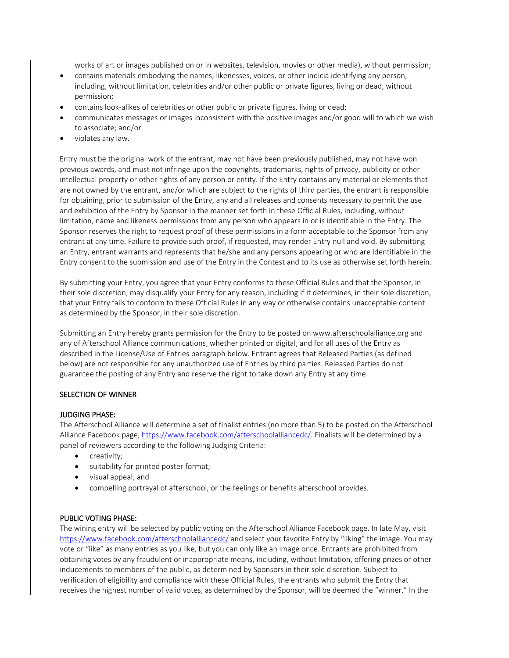works of art or images published on or in websites, television, movies or other media), without permission;

- contains materials embodying the names, likenesses, voices, or other indicia identifying any person, including, without limitation, celebrities and/or other public or private figures, living or dead, without permission;
- contains look-alikes of celebrities or other public or private figures, living or dead;
- communicates messages or images inconsistent with the positive images and/or good will to which we wish to associate; and/or
- violates any law.

Entry must be the original work of the entrant, may not have been previously published, may not have won previous awards, and must not infringe upon the copyrights, trademarks, rights of privacy, publicity or other intellectual property or other rights of any person or entity. If the Entry contains any material or elements that are not owned by the entrant, and/or which are subject to the rights of third parties, the entrant is responsible for obtaining, prior to submission of the Entry, any and all releases and consents necessary to permit the use and exhibition of the Entry by Sponsor in the manner set forth in these Official Rules, including, without limitation, name and likeness permissions from any person who appears in or is identifiable in the Entry. The Sponsor reserves the right to request proof of these permissions in a form acceptable to the Sponsor from any entrant at any time. Failure to provide such proof, if requested, may render Entry null and void. By submitting an Entry, entrant warrants and represents that he/she and any persons appearing or who are identifiable in the Entry consent to the submission and use of the Entry in the Contest and to its use as otherwise set forth herein.

By submitting your Entry, you agree that your Entry conforms to these Official Rules and that the Sponsor, in their sole discretion, may disqualify your Entry for any reason, including if it determines, in their sole discretion, that your Entry fails to conform to these Official Rules in any way or otherwise contains unacceptable content as determined by the Sponsor, in their sole discretion.

Submitting an Entry hereby grants permission for the Entry to be posted on [www.afterschoolalliance.org](http://www.afterschoolalliance.org/) and any of Afterschool Alliance communications, whether printed or digital, and for all uses of the Entry as described in the License/Use of Entries paragraph below. Entrant agrees that Released Parties (as defined below) are not responsible for any unauthorized use of Entries by third parties. Released Parties do not guarantee the posting of any Entry and reserve the right to take down any Entry at any time.

## SELECTION OF WINNER

#### JUDGING PHASE:

The Afterschool Alliance will determine a set of finalist entries (no more than 5) to be posted on the Afterschool Alliance Facebook page[, https://www.facebook.com/afterschoolalliancedc/.](https://www.facebook.com/afterschoolalliancedc/) Finalists will be determined by a panel of reviewers according to the following Judging Criteria:

- creativity;
- suitability for printed poster format;
- visual appeal; and
- compelling portrayal of afterschool, or the feelings or benefits afterschool provides.

## PUBLIC VOTING PHASE:

The wining entry will be selected by public voting on the Afterschool Alliance Facebook page. In late May, visit <https://www.facebook.com/afterschoolalliancedc/> and select your favorite Entry by "liking" the image. You may vote or "like" as many entries as you like, but you can only like an image once. Entrants are prohibited from obtaining votes by any fraudulent or inappropriate means, including, without limitation, offering prizes or other inducements to members of the public, as determined by Sponsors in their sole discretion. Subject to verification of eligibility and compliance with these Official Rules, the entrants who submit the Entry that receives the highest number of valid votes, as determined by the Sponsor, will be deemed the "winner." In the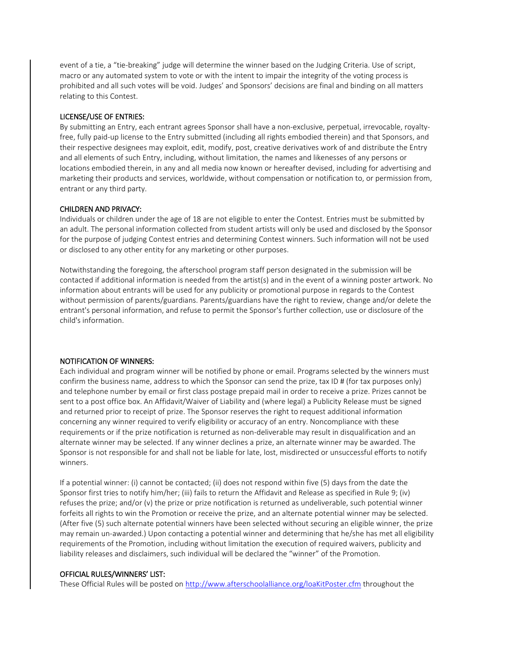event of a tie, a "tie-breaking" judge will determine the winner based on the Judging Criteria. Use of script, macro or any automated system to vote or with the intent to impair the integrity of the voting process is prohibited and all such votes will be void. Judges' and Sponsors' decisions are final and binding on all matters relating to this Contest.

## LICENSE/USE OF ENTRIES:

By submitting an Entry, each entrant agrees Sponsor shall have a non-exclusive, perpetual, irrevocable, royaltyfree, fully paid-up license to the Entry submitted (including all rights embodied therein) and that Sponsors, and their respective designees may exploit, edit, modify, post, creative derivatives work of and distribute the Entry and all elements of such Entry, including, without limitation, the names and likenesses of any persons or locations embodied therein, in any and all media now known or hereafter devised, including for advertising and marketing their products and services, worldwide, without compensation or notification to, or permission from, entrant or any third party.

#### CHILDREN AND PRIVACY:

Individuals or children under the age of 18 are not eligible to enter the Contest. Entries must be submitted by an adult. The personal information collected from student artists will only be used and disclosed by the Sponsor for the purpose of judging Contest entries and determining Contest winners. Such information will not be used or disclosed to any other entity for any marketing or other purposes.

Notwithstanding the foregoing, the afterschool program staff person designated in the submission will be contacted if additional information is needed from the artist(s) and in the event of a winning poster artwork. No information about entrants will be used for any publicity or promotional purpose in regards to the Contest without permission of parents/guardians. Parents/guardians have the right to review, change and/or delete the entrant's personal information, and refuse to permit the Sponsor's further collection, use or disclosure of the child's information.

## NOTIFICATION OF WINNERS:

Each individual and program winner will be notified by phone or email. Programs selected by the winners must confirm the business name, address to which the Sponsor can send the prize, tax ID # (for tax purposes only) and telephone number by email or first class postage prepaid mail in order to receive a prize. Prizes cannot be sent to a post office box. An Affidavit/Waiver of Liability and (where legal) a Publicity Release must be signed and returned prior to receipt of prize. The Sponsor reserves the right to request additional information concerning any winner required to verify eligibility or accuracy of an entry. Noncompliance with these requirements or if the prize notification is returned as non-deliverable may result in disqualification and an alternate winner may be selected. If any winner declines a prize, an alternate winner may be awarded. The Sponsor is not responsible for and shall not be liable for late, lost, misdirected or unsuccessful efforts to notify winners.

If a potential winner: (i) cannot be contacted; (ii) does not respond within five (5) days from the date the Sponsor first tries to notify him/her; (iii) fails to return the Affidavit and Release as specified in Rule 9; (iv) refuses the prize; and/or (v) the prize or prize notification is returned as undeliverable, such potential winner forfeits all rights to win the Promotion or receive the prize, and an alternate potential winner may be selected. (After five (5) such alternate potential winners have been selected without securing an eligible winner, the prize may remain un-awarded.) Upon contacting a potential winner and determining that he/she has met all eligibility requirements of the Promotion, including without limitation the execution of required waivers, publicity and liability releases and disclaimers, such individual will be declared the "winner" of the Promotion.

#### OFFICIAL RULES/WINNERS' LIST:

These Official Rules will be posted on<http://www.afterschoolalliance.org/loaKitPoster.cfm> throughout the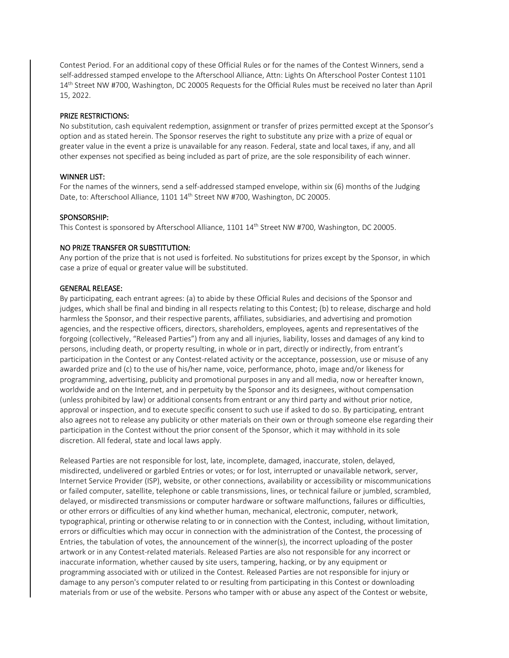Contest Period. For an additional copy of these Official Rules or for the names of the Contest Winners, send a self-addressed stamped envelope to the Afterschool Alliance, Attn: Lights On Afterschool Poster Contest 1101 14<sup>th</sup> Street NW #700, Washington, DC 20005 Requests for the Official Rules must be received no later than April 15, 2022.

#### PRIZE RESTRICTIONS:

No substitution, cash equivalent redemption, assignment or transfer of prizes permitted except at the Sponsor's option and as stated herein. The Sponsor reserves the right to substitute any prize with a prize of equal or greater value in the event a prize is unavailable for any reason. Federal, state and local taxes, if any, and all other expenses not specified as being included as part of prize, are the sole responsibility of each winner.

#### WINNER LIST:

For the names of the winners, send a self-addressed stamped envelope, within six (6) months of the Judging Date, to: Afterschool Alliance, 1101 14<sup>th</sup> Street NW #700, Washington, DC 20005.

#### SPONSORSHIP:

This Contest is sponsored by Afterschool Alliance, 1101 14<sup>th</sup> Street NW #700, Washington, DC 20005.

#### NO PRIZE TRANSFER OR SUBSTITUTION:

Any portion of the prize that is not used is forfeited. No substitutions for prizes except by the Sponsor, in which case a prize of equal or greater value will be substituted.

#### GENERAL RELEASE:

By participating, each entrant agrees: (a) to abide by these Official Rules and decisions of the Sponsor and judges, which shall be final and binding in all respects relating to this Contest; (b) to release, discharge and hold harmless the Sponsor, and their respective parents, affiliates, subsidiaries, and advertising and promotion agencies, and the respective officers, directors, shareholders, employees, agents and representatives of the forgoing (collectively, "Released Parties") from any and all injuries, liability, losses and damages of any kind to persons, including death, or property resulting, in whole or in part, directly or indirectly, from entrant's participation in the Contest or any Contest-related activity or the acceptance, possession, use or misuse of any awarded prize and (c) to the use of his/her name, voice, performance, photo, image and/or likeness for programming, advertising, publicity and promotional purposes in any and all media, now or hereafter known, worldwide and on the Internet, and in perpetuity by the Sponsor and its designees, without compensation (unless prohibited by law) or additional consents from entrant or any third party and without prior notice, approval or inspection, and to execute specific consent to such use if asked to do so. By participating, entrant also agrees not to release any publicity or other materials on their own or through someone else regarding their participation in the Contest without the prior consent of the Sponsor, which it may withhold in its sole discretion. All federal, state and local laws apply.

Released Parties are not responsible for lost, late, incomplete, damaged, inaccurate, stolen, delayed, misdirected, undelivered or garbled Entries or votes; or for lost, interrupted or unavailable network, server, Internet Service Provider (ISP), website, or other connections, availability or accessibility or miscommunications or failed computer, satellite, telephone or cable transmissions, lines, or technical failure or jumbled, scrambled, delayed, or misdirected transmissions or computer hardware or software malfunctions, failures or difficulties, or other errors or difficulties of any kind whether human, mechanical, electronic, computer, network, typographical, printing or otherwise relating to or in connection with the Contest, including, without limitation, errors or difficulties which may occur in connection with the administration of the Contest, the processing of Entries, the tabulation of votes, the announcement of the winner(s), the incorrect uploading of the poster artwork or in any Contest-related materials. Released Parties are also not responsible for any incorrect or inaccurate information, whether caused by site users, tampering, hacking, or by any equipment or programming associated with or utilized in the Contest. Released Parties are not responsible for injury or damage to any person's computer related to or resulting from participating in this Contest or downloading materials from or use of the website. Persons who tamper with or abuse any aspect of the Contest or website,